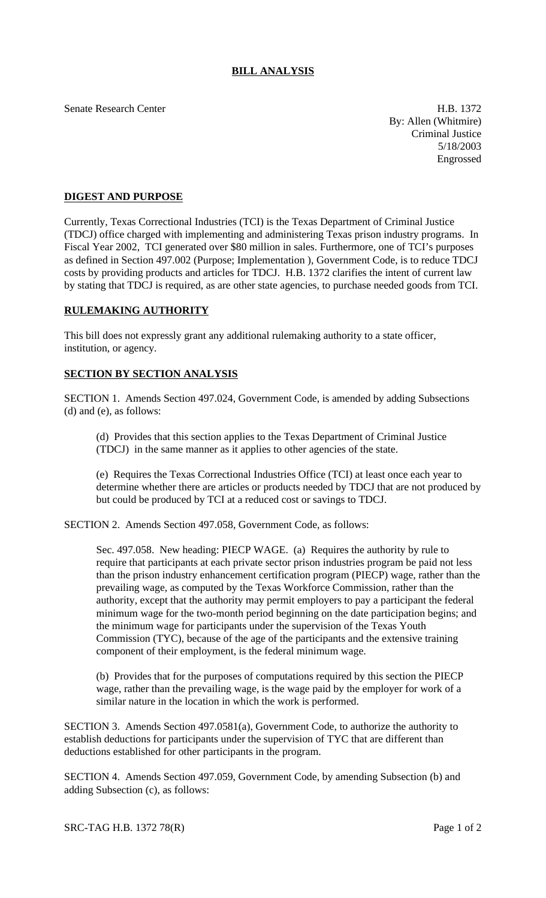## **BILL ANALYSIS**

Senate Research Center **H.B. 1372** 

By: Allen (Whitmire) Criminal Justice 5/18/2003 Engrossed

## **DIGEST AND PURPOSE**

Currently, Texas Correctional Industries (TCI) is the Texas Department of Criminal Justice (TDCJ) office charged with implementing and administering Texas prison industry programs. In Fiscal Year 2002, TCI generated over \$80 million in sales. Furthermore, one of TCI's purposes as defined in Section 497.002 (Purpose; Implementation ), Government Code, is to reduce TDCJ costs by providing products and articles for TDCJ. H.B. 1372 clarifies the intent of current law by stating that TDCJ is required, as are other state agencies, to purchase needed goods from TCI.

## **RULEMAKING AUTHORITY**

This bill does not expressly grant any additional rulemaking authority to a state officer, institution, or agency.

## **SECTION BY SECTION ANALYSIS**

SECTION 1. Amends Section 497.024, Government Code, is amended by adding Subsections (d) and (e), as follows:

(d) Provides that this section applies to the Texas Department of Criminal Justice (TDCJ) in the same manner as it applies to other agencies of the state.

(e) Requires the Texas Correctional Industries Office (TCI) at least once each year to determine whether there are articles or products needed by TDCJ that are not produced by but could be produced by TCI at a reduced cost or savings to TDCJ.

SECTION 2. Amends Section 497.058, Government Code, as follows:

Sec. 497.058. New heading: PIECP WAGE. (a) Requires the authority by rule to require that participants at each private sector prison industries program be paid not less than the prison industry enhancement certification program (PIECP) wage, rather than the prevailing wage, as computed by the Texas Workforce Commission, rather than the authority, except that the authority may permit employers to pay a participant the federal minimum wage for the two-month period beginning on the date participation begins; and the minimum wage for participants under the supervision of the Texas Youth Commission (TYC), because of the age of the participants and the extensive training component of their employment, is the federal minimum wage.

(b) Provides that for the purposes of computations required by this section the PIECP wage, rather than the prevailing wage, is the wage paid by the employer for work of a similar nature in the location in which the work is performed.

SECTION 3. Amends Section 497.0581(a), Government Code, to authorize the authority to establish deductions for participants under the supervision of TYC that are different than deductions established for other participants in the program.

SECTION 4. Amends Section 497.059, Government Code, by amending Subsection (b) and adding Subsection (c), as follows: